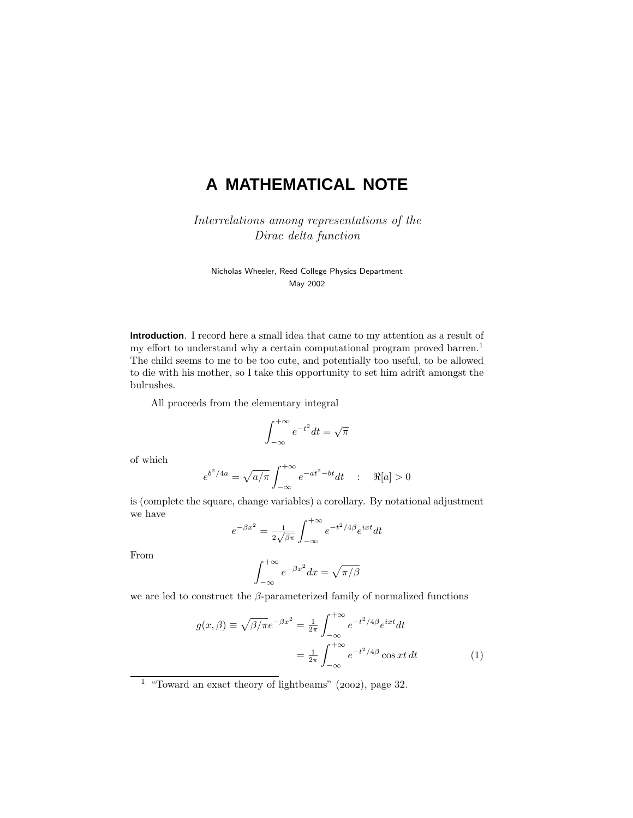# **A MATHEMATICAL NOTE**

Interrelations among representations of the Dirac delta function

Nicholas Wheeler, Reed College Physics Department May 2002

**Introduction**. I record here a small idea that came to my attention as a result of my effort to understand why a certain computational program proved barren.<sup>1</sup> The child seems to me to be too cute, and potentially too useful, to be allowed to die with his mother, so I take this opportunity to set him adrift amongst the bulrushes.

All proceeds from the elementary integral

$$
\int_{-\infty}^{+\infty} e^{-t^2} dt = \sqrt{\pi}
$$

of which

$$
e^{b^2/4a} = \sqrt{a/\pi} \int_{-\infty}^{+\infty} e^{-at^2 - bt} dt
$$
 :  $\Re[a] > 0$ 

is (complete the square, change variables) a corollary. By notational adjustment we have

$$
e^{-\beta x^2} = \frac{1}{2\sqrt{\beta \pi}} \int_{-\infty}^{+\infty} e^{-t^2/4\beta} e^{ixt} dt
$$

From

$$
\int_{-\infty}^{+\infty} e^{-\beta x^2} dx = \sqrt{\pi/\beta}
$$

we are led to construct the *β*-parameterized family of normalized functions

$$
g(x,\beta) \equiv \sqrt{\beta/\pi}e^{-\beta x^2} = \frac{1}{2\pi} \int_{-\infty}^{+\infty} e^{-t^2/4\beta} e^{ixt} dt
$$

$$
= \frac{1}{2\pi} \int_{-\infty}^{+\infty} e^{-t^2/4\beta} \cos xt \, dt \tag{1}
$$

<sup>&</sup>lt;sup>1</sup> "Toward an exact theory of lightbeams" (2002), page 32.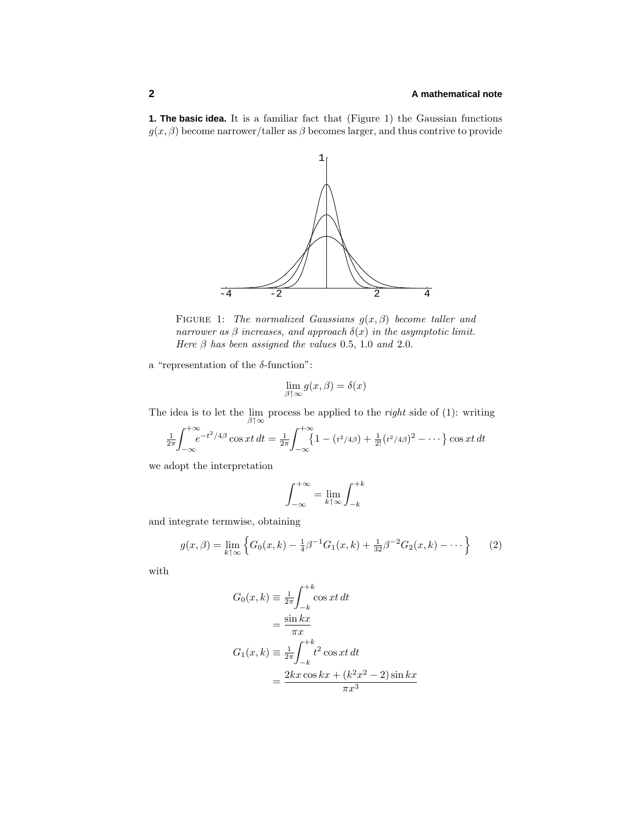## **2 A mathematical note**

**1. The basic idea.** It is a familiar fact that (Figure 1) the Gaussian functions  $g(x, \beta)$  become narrower/taller as  $\beta$  becomes larger, and thus contrive to provide



Figure 1: The normalized Gaussians *g*(*x, β*) become taller and narrower as  $\beta$  increases, and approach  $\delta(x)$  in the asymptotic limit. Here  $\beta$  has been assigned the values 0.5, 1.0 and 2.0.

a "representation of the *δ*-function":

$$
\lim_{\beta \uparrow \infty} g(x,\beta) = \delta(x)
$$

The idea is to let the  $\lim_{\beta \uparrow \infty}$  process be applied to the *right* side of (1): writing

$$
\frac{1}{2\pi} \int_{-\infty}^{+\infty} e^{-t^2/4\beta} \cos xt \, dt = \frac{1}{2\pi} \int_{-\infty}^{+\infty} \{1 - (t^2/4\beta) + \frac{1}{2!} (t^2/4\beta)^2 - \dots \} \cos xt \, dt
$$

we adopt the interpretation

$$
\int_{-\infty}^{+\infty} = \lim_{k \uparrow \infty} \int_{-k}^{+k}
$$

and integrate termwise, obtaining

$$
g(x,\beta) = \lim_{k \uparrow \infty} \left\{ G_0(x,k) - \frac{1}{4}\beta^{-1}G_1(x,k) + \frac{1}{32}\beta^{-2}G_2(x,k) - \dots \right\}
$$
 (2)

with

$$
G_0(x, k) \equiv \frac{1}{2\pi} \int_{-k}^{+k} \cos xt \, dt
$$

$$
= \frac{\sin kx}{\pi x}
$$

$$
G_1(x, k) \equiv \frac{1}{2\pi} \int_{-k}^{+k} t^2 \cos xt \, dt
$$

$$
= \frac{2kx \cos kx + (k^2x^2 - 2) \sin kx}{\pi x^3}
$$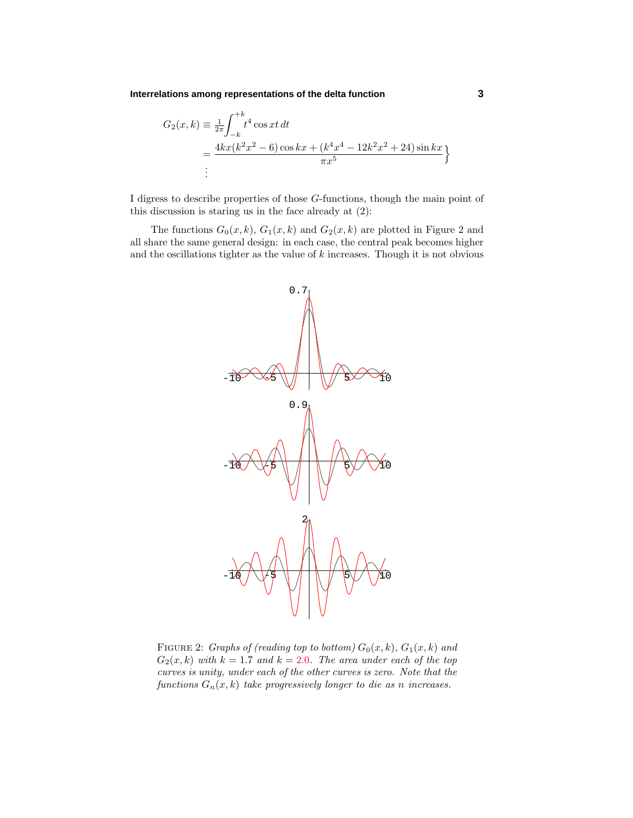**Interrelations among representations of the delta function 3**

$$
G_2(x,k) \equiv \frac{1}{2\pi} \int_{-k}^{+k} t^4 \cos xt \, dt
$$
  
= 
$$
\frac{4kx(k^2x^2 - 6) \cos kx + (k^4x^4 - 12k^2x^2 + 24) \sin kx}{\pi x^5}
$$
  
:

I digress to describe properties of those *G*-functions, though the main point of this discussion is staring us in the face already at (2):

The functions  $G_0(x, k)$ ,  $G_1(x, k)$  and  $G_2(x, k)$  are plotted in Figure 2 and all share the same general design: in each case, the central peak becomes higher and the oscillations tighter as the value of *k* increases. Though it is not obvious



FIGURE 2: *Graphs of (reading top to bottom)*  $G_0(x, k)$ ,  $G_1(x, k)$  and  $G_2(x, k)$  with  $k = 1.7$  and  $k = 2.0$ . The area under each of the top curves is unity, under each of the other curves is zero. Note that the functions  $G_n(x, k)$  take progressively longer to die as *n* increases.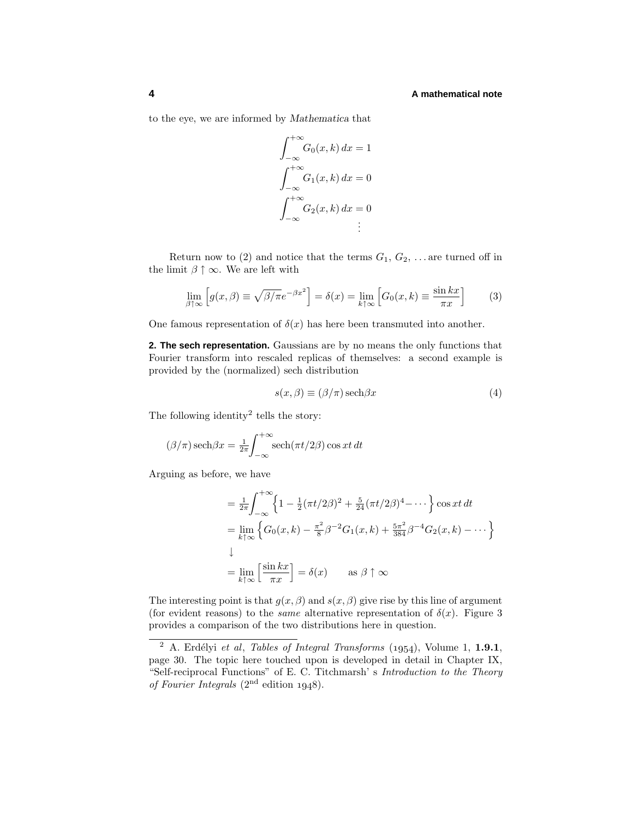### **4 A mathematical note**

to the eye, we are informed by *Mathematica* that

$$
\int_{-\infty}^{+\infty} G_0(x, k) dx = 1
$$

$$
\int_{-\infty}^{+\infty} G_1(x, k) dx = 0
$$

$$
\int_{-\infty}^{+\infty} G_2(x, k) dx = 0
$$

$$
\vdots
$$

Return now to (2) and notice that the terms  $G_1, G_2, \ldots$  are turned off in the limit  $\beta \uparrow \infty$ . We are left with

$$
\lim_{\beta \uparrow \infty} \left[ g(x,\beta) \equiv \sqrt{\beta/\pi} e^{-\beta x^2} \right] = \delta(x) = \lim_{k \uparrow \infty} \left[ G_0(x,k) \equiv \frac{\sin kx}{\pi x} \right] \tag{3}
$$

One famous representation of  $\delta(x)$  has here been transmuted into another.

**2. The sech representation.** Gaussians are by no means the only functions that Fourier transform into rescaled replicas of themselves: a second example is provided by the (normalized) sech distribution

$$
s(x,\beta) \equiv (\beta/\pi)\,\text{sech}\beta x\tag{4}
$$

The following identity<sup>2</sup> tells the story:

$$
(\beta/\pi)\operatorname{sech}\beta x = \frac{1}{2\pi}\int_{-\infty}^{+\infty} \operatorname{sech}(\pi t/2\beta) \cos xt \, dt
$$

Arguing as before, we have

$$
= \frac{1}{2\pi} \int_{-\infty}^{+\infty} \left\{ 1 - \frac{1}{2} (\pi t/2\beta)^2 + \frac{5}{24} (\pi t/2\beta)^4 - \cdots \right\} \cos xt \, dt
$$
  
\n
$$
= \lim_{k \uparrow \infty} \left\{ G_0(x, k) - \frac{\pi^2}{8} \beta^{-2} G_1(x, k) + \frac{5\pi^2}{384} \beta^{-4} G_2(x, k) - \cdots \right\}
$$
  
\n
$$
\downarrow
$$
  
\n
$$
= \lim_{k \uparrow \infty} \left[ \frac{\sin kx}{\pi x} \right] = \delta(x) \quad \text{as } \beta \uparrow \infty
$$

The interesting point is that  $g(x, \beta)$  and  $s(x, \beta)$  give rise by this line of argument (for evident reasons) to the *same* alternative representation of  $\delta(x)$ . Figure 3 provides a comparison of the two distributions here in question.

<sup>&</sup>lt;sup>2</sup> A. Erdélyi et al, *Tables of Integral Transforms* (1954), Volume 1, **1.9.1**, page 30. The topic here touched upon is developed in detail in Chapter IX, "Self-reciprocal Functions" of E. C. Titchmarsh' s Introduction to the Theory of Fourier Integrals  $(2<sup>nd</sup>$  edition 1948).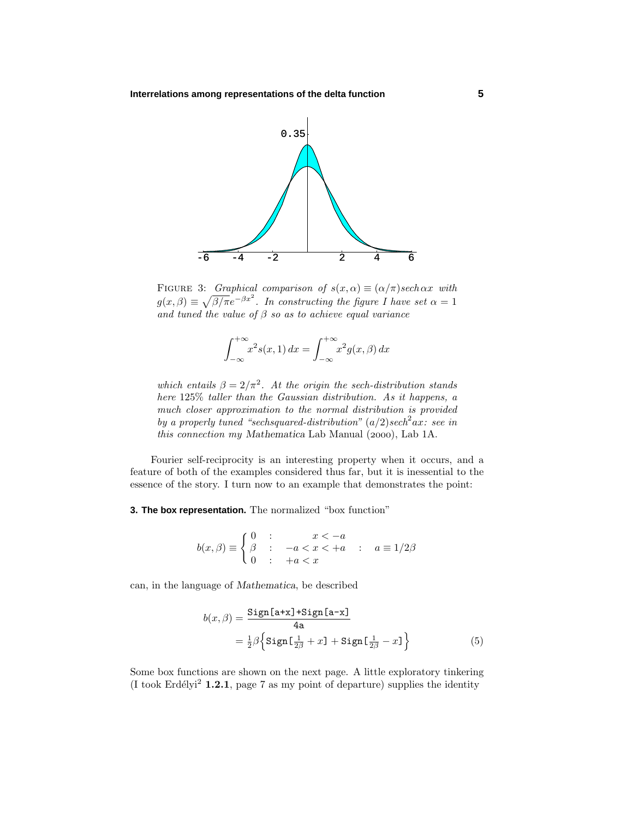

FIGURE 3: Graphical comparison of  $s(x, \alpha) \equiv (\alpha/\pi) sech \alpha x$  with  $g(x, \beta) \equiv \sqrt{\beta/\pi}e^{-\beta x^2}$ . In constructing the figure I have set  $\alpha = 1$ and tuned the value of  $\beta$  so as to achieve equal variance

$$
\int_{-\infty}^{+\infty} x^2 s(x, 1) dx = \int_{-\infty}^{+\infty} x^2 g(x, \beta) dx
$$

which entails  $\beta = 2/\pi^2$ . At the origin the sech-distribution stands here 125% taller than the Gaussian distribution. As it happens, a much closer approximation to the normal distribution is provided by a properly tuned "sechsquared-distribution"  $(a/2)$ sech<sup>2</sup>ax: see in this connection my Mathematica Lab Manual (2000), Lab 1A.

Fourier self-reciprocity is an interesting property when it occurs, and a feature of both of the examples considered thus far, but it is inessential to the essence of the story. I turn now to an example that demonstrates the point:

**3. The box representation.** The normalized "box function"

$$
b(x,\beta) \equiv \begin{cases} 0 & \text{: } x < -a \\ \beta & \text{: } -a < x < +a \\ 0 & \text{: } +a < x \end{cases} \quad a \equiv 1/2\beta
$$

can, in the language of *Mathematica*, be described

$$
b(x,\beta) = \frac{\text{Sign}[\text{a+x}] + \text{Sign}[\text{a-x}]}{4\text{a}}
$$

$$
= \frac{1}{2}\beta \left\{ \text{Sign}[\frac{1}{2\beta} + x] + \text{Sign}[\frac{1}{2\beta} - x] \right\} \tag{5}
$$

Some box functions are shown on the next page. A little exploratory tinkering (I took Erdélyi<sup>2</sup> **1.2.1**, page 7 as my point of departure) supplies the identity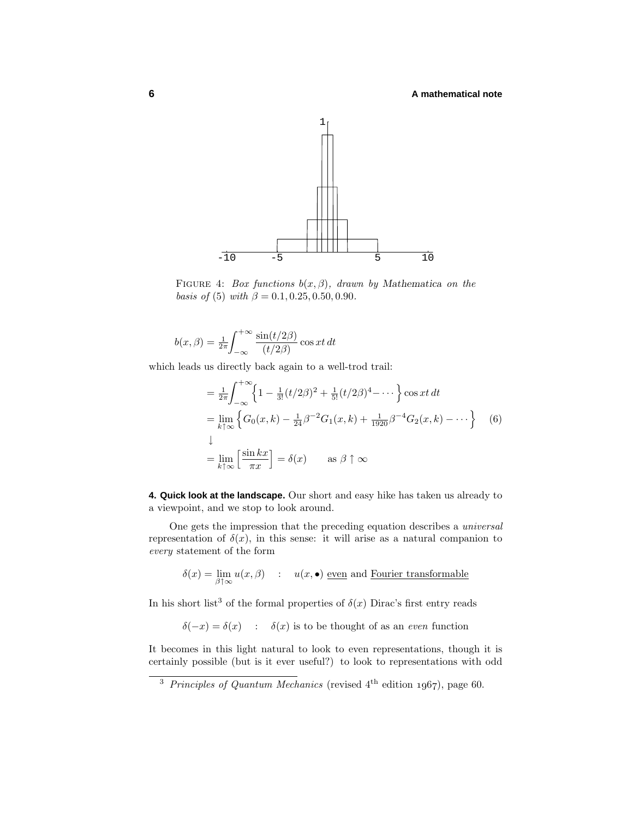

Figure 4: Box functions *b*(*x, β*), drawn by *Mathematica* on the basis of (5) with  $\beta = 0.1, 0.25, 0.50, 0.90$ .

$$
b(x,\beta) = \frac{1}{2\pi} \int_{-\infty}^{+\infty} \frac{\sin(t/2\beta)}{(t/2\beta)} \cos xt \, dt
$$

which leads us directly back again to a well-trod trail:

$$
= \frac{1}{2\pi} \int_{-\infty}^{+\infty} \left\{ 1 - \frac{1}{3!} (t/2\beta)^2 + \frac{1}{5!} (t/2\beta)^4 - \cdots \right\} \cos xt \, dt
$$
  
\n
$$
= \lim_{k \uparrow \infty} \left\{ G_0(x, k) - \frac{1}{24} \beta^{-2} G_1(x, k) + \frac{1}{1920} \beta^{-4} G_2(x, k) - \cdots \right\} \quad (6)
$$
  
\n
$$
\downarrow
$$
  
\n
$$
= \lim_{k \uparrow \infty} \left[ \frac{\sin kx}{\pi x} \right] = \delta(x) \quad \text{as } \beta \uparrow \infty
$$

**4. Quick look at the landscape.** Our short and easy hike has taken us already to a viewpoint, and we stop to look around.

One gets the impression that the preceding equation describes a universal representation of  $\delta(x)$ , in this sense: it will arise as a natural companion to every statement of the form

$$
\delta(x) = \lim_{\beta \uparrow \infty} u(x, \beta) \qquad : \quad u(x, \bullet) \text{ even and Fourier transformable}
$$

In his short list<sup>3</sup> of the formal properties of  $\delta(x)$  Dirac's first entry reads

 $\delta(-x) = \delta(x)$  :  $\delta(x)$  is to be thought of as an even function

It becomes in this light natural to look to even representations, though it is certainly possible (but is it ever useful?) to look to representations with odd

<sup>&</sup>lt;sup>3</sup> Principles of Quantum Mechanics (revised  $4<sup>th</sup>$  edition 1967), page 60.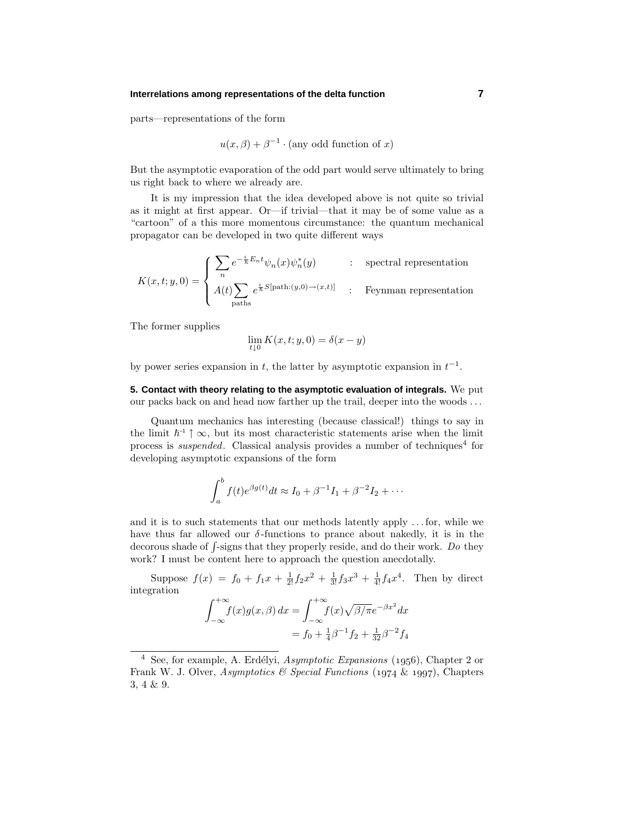#### **Interrelations among representations of the delta function 7**

parts—representations of the form

$$
u(x, \beta) + \beta^{-1} \cdot \text{(any odd function of } x\text{)}
$$

But the asymptotic evaporation of the odd part would serve ultimately to bring us right back to where we already are.

It is my impression that the idea developed above is not quite so trivial as it might at first appear. Or—if trivial—that it may be of some value as a "cartoon" of a this more momentous circumstance: the quantum mechanical propagator can be developed in two quite different ways

$$
K(x,t;y,0) = \begin{cases} \sum_{n} e^{-\frac{i}{\hbar}E_{n}t} \psi_{n}(x)\psi_{n}^{*}(y) & \text{:} \quad \text{spectral representation} \\ A(t) \sum_{\text{paths}} e^{\frac{i}{\hbar}S[\text{path}:(y,0)\to(x,t)]} & \text{:} \quad \text{Feynman representation} \end{cases}
$$

The former supplies

$$
\lim_{t \downarrow 0} K(x, t; y, 0) = \delta(x - y)
$$

by power series expansion in  $t$ , the latter by asymptotic expansion in  $t^{-1}$ .

**5. Contact with theory relating to the asymptotic evaluation of integrals.** We put our packs back on and head now farther up the trail, deeper into the woods *...*

Quantum mechanics has interesting (because classical!) things to say in the limit  $\hbar^{-1}$   $\uparrow \infty$ , but its most characteristic statements arise when the limit process is *suspended*. Classical analysis provides a number of techniques<sup>4</sup> for developing asymptotic expansions of the form

$$
\int_{a}^{b} f(t)e^{\beta g(t)}dt \approx I_0 + \beta^{-1}I_1 + \beta^{-2}I_2 + \cdots
$$

and it is to such statements that our methods latently apply *...* for, while we have thus far allowed our  $\delta$ -functions to prance about nakedly, it is in the decorous shade of  $\int$ -signs that they properly reside, and do their work. Do they work? I must be content here to approach the question anecdotally.

Suppose  $f(x) = f_0 + f_1x + \frac{1}{2!}f_2x^2 + \frac{1}{3!}f_3x^3 + \frac{1}{4!}f_4x^4$ . Then by direct integration

$$
\int_{-\infty}^{+\infty} f(x)g(x,\beta) dx = \int_{-\infty}^{+\infty} f(x)\sqrt{\beta/\pi}e^{-\beta x^2} dx
$$
  
=  $f_0 + \frac{1}{4}\beta^{-1}f_2 + \frac{1}{32}\beta^{-2}f_4$ 

 $\frac{4}{4}$  See, for example, A. Erdélyi, Asymptotic Expansions (1956), Chapter 2 or Frank W. J. Olver, Asymptotics & Special Functions (1974 & 1997), Chapters 3, 4 & 9.